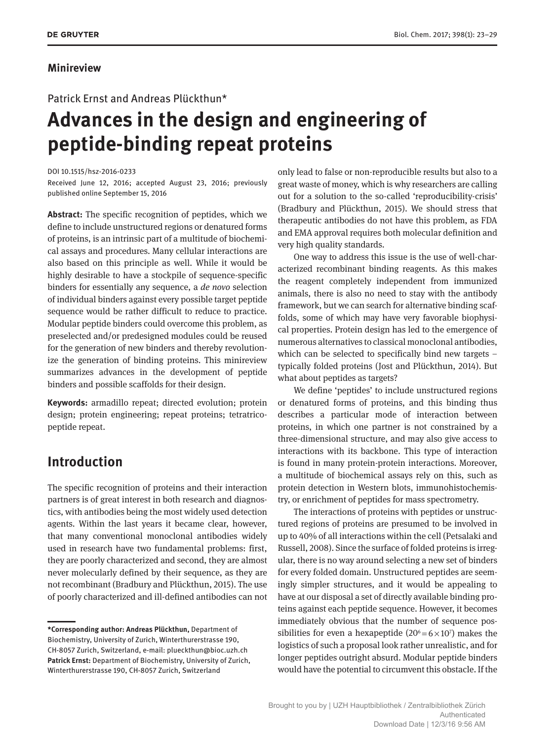#### **Minireview**

#### Patrick Ernst and Andreas Plückthun\*

# **Advances in the design and engineering of peptide-binding repeat proteins**

#### DOI 10.1515/hsz-2016-0233

Received June 12, 2016; accepted August 23, 2016; previously published online September 15, 2016

**Abstract:** The specific recognition of peptides, which we define to include unstructured regions or denatured forms of proteins, is an intrinsic part of a multitude of biochemical assays and procedures. Many cellular interactions are also based on this principle as well. While it would be highly desirable to have a stockpile of sequence-specific binders for essentially any sequence, a *de novo* selection of individual binders against every possible target peptide sequence would be rather difficult to reduce to practice. Modular peptide binders could overcome this problem, as preselected and/or predesigned modules could be reused for the generation of new binders and thereby revolutionize the generation of binding proteins. This minireview summarizes advances in the development of peptide binders and possible scaffolds for their design.

**Keywords:** armadillo repeat; directed evolution; protein design; protein engineering; repeat proteins; tetratricopeptide repeat.

## **Introduction**

The specific recognition of proteins and their interaction partners is of great interest in both research and diagnostics, with antibodies being the most widely used detection agents. Within the last years it became clear, however, that many conventional monoclonal antibodies widely used in research have two fundamental problems: first, they are poorly characterized and second, they are almost never molecularly defined by their sequence, as they are not recombinant (Bradbury and Plückthun, 2015). The use of poorly characterized and ill-defined antibodies can not

only lead to false or non-reproducible results but also to a great waste of money, which is why researchers are calling out for a solution to the so-called 'reproducibility-crisis' (Bradbury and Plückthun, 2015). We should stress that therapeutic antibodies do not have this problem, as FDA and EMA approval requires both molecular definition and very high quality standards.

One way to address this issue is the use of well-characterized recombinant binding reagents. As this makes the reagent completely independent from immunized animals, there is also no need to stay with the antibody framework, but we can search for alternative binding scaffolds, some of which may have very favorable biophysical properties. Protein design has led to the emergence of numerous alternatives to classical monoclonal antibodies, which can be selected to specifically bind new targets – typically folded proteins (Jost and Plückthun, 2014). But what about peptides as targets?

We define 'peptides' to include unstructured regions or denatured forms of proteins, and this binding thus describes a particular mode of interaction between proteins, in which one partner is not constrained by a three-dimensional structure, and may also give access to interactions with its backbone. This type of interaction is found in many protein-protein interactions. Moreover, a multitude of biochemical assays rely on this, such as protein detection in Western blots, immunohistochemistry, or enrichment of peptides for mass spectrometry.

The interactions of proteins with peptides or unstructured regions of proteins are presumed to be involved in up to 40% of all interactions within the cell (Petsalaki and Russell, 2008). Since the surface of folded proteins is irregular, there is no way around selecting a new set of binders for every folded domain. Unstructured peptides are seemingly simpler structures, and it would be appealing to have at our disposal a set of directly available binding proteins against each peptide sequence. However, it becomes immediately obvious that the number of sequence possibilities for even a hexapeptide  $(20<sup>6</sup>=6\times10<sup>7</sup>)$  makes the logistics of such a proposal look rather unrealistic, and for longer peptides outright absurd. Modular peptide binders would have the potential to circumvent this obstacle. If the

**<sup>\*</sup>Corresponding author: Andreas Plückthun,** Department of Biochemistry, University of Zurich, Winterthurerstrasse 190, CH-8057 Zurich, Switzerland, e-mail: [plueckthun@bioc.uzh.ch](mailto:plueckthun@bioc.uzh.ch) **Patrick Ernst:** Department of Biochemistry, University of Zurich, Winterthurerstrasse 190, CH-8057 Zurich, Switzerland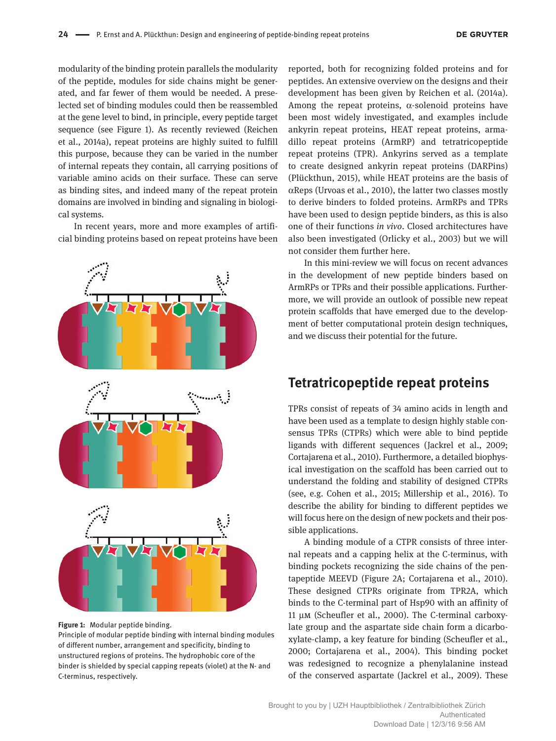modularity of the binding protein parallels the modularity of the peptide, modules for side chains might be generated, and far fewer of them would be needed. A preselected set of binding modules could then be reassembled at the gene level to bind, in principle, every peptide target sequence (see Figure 1). As recently reviewed (Reichen et al., 2014a), repeat proteins are highly suited to fulfill this purpose, because they can be varied in the number of internal repeats they contain, all carrying positions of variable amino acids on their surface. These can serve as binding sites, and indeed many of the repeat protein domains are involved in binding and signaling in biological systems.

In recent years, more and more examples of artificial binding proteins based on repeat proteins have been



**Figure 1:** Modular peptide binding.

Principle of modular peptide binding with internal binding modules of different number, arrangement and specificity, binding to unstructured regions of proteins. The hydrophobic core of the binder is shielded by special capping repeats (violet) at the N- and C-terminus, respectively.

reported, both for recognizing folded proteins and for peptides. An extensive overview on the designs and their development has been given by Reichen et al. (2014a). Among the repeat proteins,  $\alpha$ -solenoid proteins have been most widely investigated, and examples include ankyrin repeat proteins, HEAT repeat proteins, armadillo repeat proteins (ArmRP) and tetratricopeptide repeat proteins (TPR). Ankyrins served as a template to create designed ankyrin repeat proteins (DARPins) (Plückthun, 2015), while HEAT proteins are the basis of  $\alpha$ Reps (Urvoas et al., 2010), the latter two classes mostly to derive binders to folded proteins. ArmRPs and TPRs have been used to design peptide binders, as this is also one of their functions *in vivo*. Closed architectures have also been investigated (Orlicky et al., 2003) but we will not consider them further here.

In this mini-review we will focus on recent advances in the development of new peptide binders based on ArmRPs or TPRs and their possible applications. Furthermore, we will provide an outlook of possible new repeat protein scaffolds that have emerged due to the development of better computational protein design techniques, and we discuss their potential for the future.

### **Tetratricopeptide repeat proteins**

TPRs consist of repeats of 34 amino acids in length and have been used as a template to design highly stable consensus TPRs (CTPRs) which were able to bind peptide ligands with different sequences (Jackrel et al., 2009; Cortajarena et al., 2010). Furthermore, a detailed biophysical investigation on the scaffold has been carried out to understand the folding and stability of designed CTPRs (see, e.g. Cohen et al., 2015; Millership et al., 2016). To describe the ability for binding to different peptides we will focus here on the design of new pockets and their possible applications.

A binding module of a CTPR consists of three internal repeats and a capping helix at the C-terminus, with binding pockets recognizing the side chains of the pentapeptide MEEVD (Figure 2A; Cortajarena et al., 2010). These designed CTPRs originate from TPR2A, which binds to the C-terminal part of Hsp90 with an affinity of 11 μm (Scheufler et al., 2000). The C-terminal carboxylate group and the aspartate side chain form a dicarboxylate-clamp, a key feature for binding (Scheufler et al., 2000; Cortajarena et al., 2004). This binding pocket was redesigned to recognize a phenylalanine instead of the conserved aspartate (Jackrel et al., 2009). These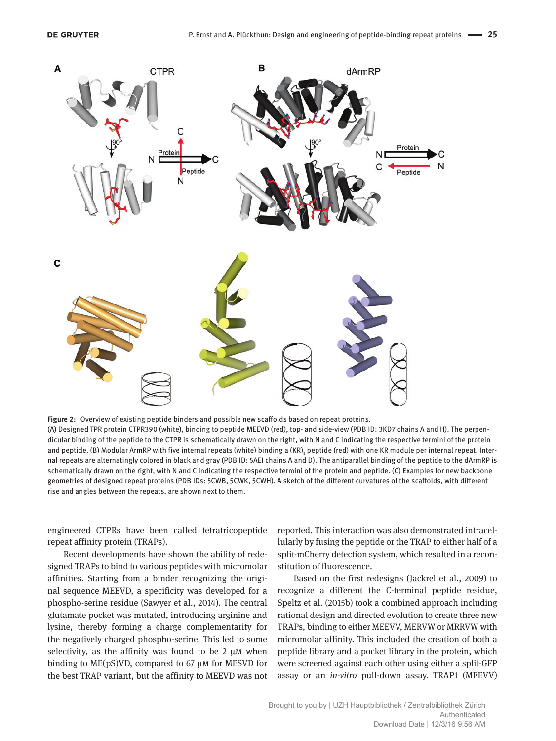

**Figure 2:** Overview of existing peptide binders and possible new scaffolds based on repeat proteins. (A) Designed TPR protein CTPR390 (white), binding to peptide MEEVD (red), top- and side-view (PDB ID: 3KD7 chains A and H). The perpendicular binding of the peptide to the CTPR is schematically drawn on the right, with N and C indicating the respective termini of the protein and peptide. (B) Modular ArmRP with five internal repeats (white) binding a (KR)<sub>5</sub> peptide (red) with one KR module per internal repeat. Internal repeats are alternatingly colored in black and gray (PDB ID: 5AEI chains A and D). The antiparallel binding of the peptide to the dArmRP is schematically drawn on the right, with N and C indicating the respective termini of the protein and peptide. (C) Examples for new backbone geometries of designed repeat proteins (PDB IDs: 5CWB, 5CWK, 5CWH). A sketch of the different curvatures of the scaffolds, with different rise and angles between the repeats, are shown next to them.

engineered CTPRs have been called tetratricopeptide repeat affinity protein (TRAPs).

Recent developments have shown the ability of redesigned TRAPs to bind to various peptides with micromolar affinities. Starting from a binder recognizing the original sequence MEEVD, a specificity was developed for a phospho-serine residue (Sawyer et al., 2014). The central glutamate pocket was mutated, introducing arginine and lysine, thereby forming a charge complementarity for the negatively charged phospho-serine. This led to some selectivity, as the affinity was found to be 2 μm when binding to ME(pS)VD, compared to 67 μm for MESVD for the best TRAP variant, but the affinity to MEEVD was not reported. This interaction was also demonstrated intracellularly by fusing the peptide or the TRAP to either half of a split-mCherry detection system, which resulted in a reconstitution of fluorescence.

Based on the first redesigns (Jackrel et al., 2009) to recognize a different the C-terminal peptide residue, Speltz et al. (2015b) took a combined approach including rational design and directed evolution to create three new TRAPs, binding to either MEEVV, MERVW or MRRVW with micromolar affinity. This included the creation of both a peptide library and a pocket library in the protein, which were screened against each other using either a split-GFP assay or an *in-vitro* pull-down assay. TRAP1 (MEEVV)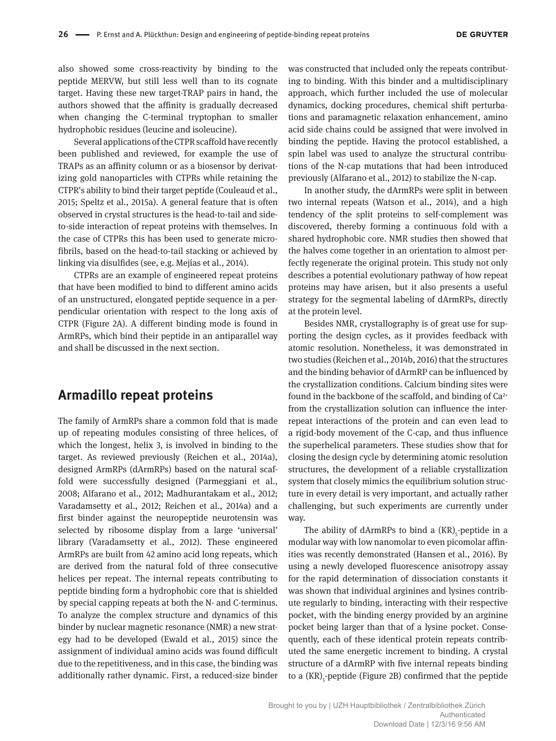also showed some cross-reactivity by binding to the peptide MERVW, but still less well than to its cognate target. Having these new target-TRAP pairs in hand, the authors showed that the affinity is gradually decreased when changing the C-terminal tryptophan to smaller hydrophobic residues (leucine and isoleucine).

Several applications of the CTPR scaffold have recently been published and reviewed, for example the use of TRAPs as an affinity column or as a biosensor by derivatizing gold nanoparticles with CTPRs while retaining the CTPR's ability to bind their target peptide (Couleaud et al., 2015; Speltz et al., 2015a). A general feature that is often observed in crystal structures is the head-to-tail and sideto-side interaction of repeat proteins with themselves. In the case of CTPRs this has been used to generate microfibrils, based on the head-to-tail stacking or achieved by linking via disulfides (see, e.g. Mejías et al., 2014).

CTPRs are an example of engineered repeat proteins that have been modified to bind to different amino acids of an unstructured, elongated peptide sequence in a perpendicular orientation with respect to the long axis of CTPR (Figure 2A). A different binding mode is found in ArmRPs, which bind their peptide in an antiparallel way and shall be discussed in the next section.

#### **Armadillo repeat proteins**

The family of ArmRPs share a common fold that is made up of repeating modules consisting of three helices, of which the longest, helix 3, is involved in binding to the target. As reviewed previously (Reichen et al., 2014a), designed ArmRPs (dArmRPs) based on the natural scaffold were successfully designed (Parmeggiani et al., 2008; Alfarano et al., 2012; Madhurantakam et al., 2012; Varadamsetty et al., 2012; Reichen et al., 2014a) and a first binder against the neuropeptide neurotensin was selected by ribosome display from a large 'universal' library (Varadamsetty et al., 2012). These engineered ArmRPs are built from 42 amino acid long repeats, which are derived from the natural fold of three consecutive helices per repeat. The internal repeats contributing to peptide binding form a hydrophobic core that is shielded by special capping repeats at both the N- and C-terminus. To analyze the complex structure and dynamics of this binder by nuclear magnetic resonance (NMR) a new strategy had to be developed (Ewald et al., 2015) since the assignment of individual amino acids was found difficult due to the repetitiveness, and in this case, the binding was additionally rather dynamic. First, a reduced-size binder

was constructed that included only the repeats contributing to binding. With this binder and a multidisciplinary approach, which further included the use of molecular dynamics, docking procedures, chemical shift perturbations and paramagnetic relaxation enhancement, amino acid side chains could be assigned that were involved in binding the peptide. Having the protocol established, a spin label was used to analyze the structural contributions of the N-cap mutations that had been introduced previously (Alfarano et al., 2012) to stabilize the N-cap.

In another study, the dArmRPs were split in between two internal repeats (Watson et al., 2014), and a high tendency of the split proteins to self-complement was discovered, thereby forming a continuous fold with a shared hydrophobic core. NMR studies then showed that the halves come together in an orientation to almost perfectly regenerate the original protein. This study not only describes a potential evolutionary pathway of how repeat proteins may have arisen, but it also presents a useful strategy for the segmental labeling of dArmRPs, directly at the protein level.

Besides NMR, crystallography is of great use for supporting the design cycles, as it provides feedback with atomic resolution. Nonetheless, it was demonstrated in two studies (Reichen et al., 2014b, 2016) that the structures and the binding behavior of dArmRP can be influenced by the crystallization conditions. Calcium binding sites were found in the backbone of the scaffold, and binding of  $Ca^{2+}$ from the crystallization solution can influence the interrepeat interactions of the protein and can even lead to a rigid-body movement of the C-cap, and thus influence the superhelical parameters. These studies show that for closing the design cycle by determining atomic resolution structures, the development of a reliable crystallization system that closely mimics the equilibrium solution structure in every detail is very important, and actually rather challenging, but such experiments are currently under way.

The ability of dArmRPs to bind a  $(KR)_{5}$ -peptide in a modular way with low nanomolar to even picomolar affinities was recently demonstrated (Hansen et al., 2016). By using a newly developed fluorescence anisotropy assay for the rapid determination of dissociation constants it was shown that individual arginines and lysines contribute regularly to binding, interacting with their respective pocket, with the binding energy provided by an arginine pocket being larger than that of a lysine pocket. Consequently, each of these identical protein repeats contributed the same energetic increment to binding. A crystal structure of a dArmRP with five internal repeats binding to a  $(KR)_{5}$ -peptide (Figure 2B) confirmed that the peptide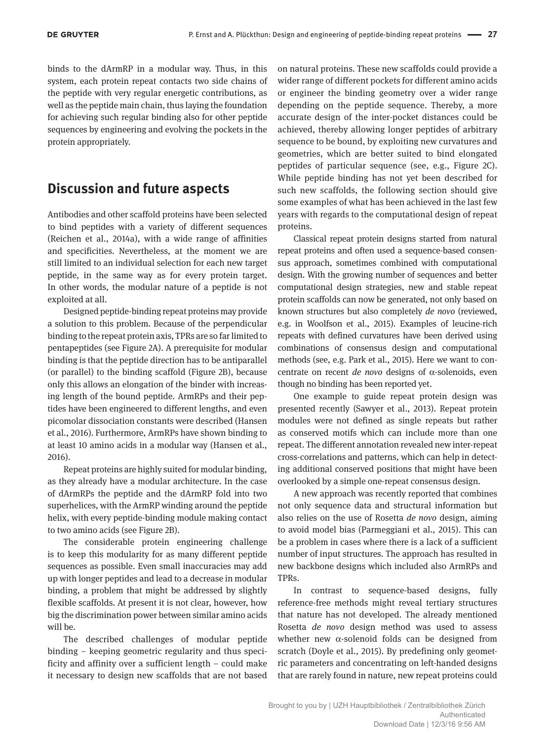binds to the dArmRP in a modular way. Thus, in this system, each protein repeat contacts two side chains of the peptide with very regular energetic contributions, as well as the peptide main chain, thus laying the foundation for achieving such regular binding also for other peptide sequences by engineering and evolving the pockets in the protein appropriately.

# **Discussion and future aspects**

Antibodies and other scaffold proteins have been selected to bind peptides with a variety of different sequences (Reichen et al., 2014a), with a wide range of affinities and specificities. Nevertheless, at the moment we are still limited to an individual selection for each new target peptide, in the same way as for every protein target. In other words, the modular nature of a peptide is not exploited at all.

Designed peptide-binding repeat proteins may provide a solution to this problem. Because of the perpendicular binding to the repeat protein axis, TPRs are so far limited to pentapeptides (see Figure 2A). A prerequisite for modular binding is that the peptide direction has to be antiparallel (or parallel) to the binding scaffold (Figure 2B), because only this allows an elongation of the binder with increasing length of the bound peptide. ArmRPs and their peptides have been engineered to different lengths, and even picomolar dissociation constants were described (Hansen et al., 2016). Furthermore, ArmRPs have shown binding to at least 10 amino acids in a modular way (Hansen et al., 2016).

Repeat proteins are highly suited for modular binding, as they already have a modular architecture. In the case of dArmRPs the peptide and the dArmRP fold into two superhelices, with the ArmRP winding around the peptide helix, with every peptide-binding module making contact to two amino acids (see Figure 2B).

The considerable protein engineering challenge is to keep this modularity for as many different peptide sequences as possible. Even small inaccuracies may add up with longer peptides and lead to a decrease in modular binding, a problem that might be addressed by slightly flexible scaffolds. At present it is not clear, however, how big the discrimination power between similar amino acids will be.

The described challenges of modular peptide binding – keeping geometric regularity and thus specificity and affinity over a sufficient length – could make it necessary to design new scaffolds that are not based

on natural proteins. These new scaffolds could provide a wider range of different pockets for different amino acids or engineer the binding geometry over a wider range depending on the peptide sequence. Thereby, a more accurate design of the inter-pocket distances could be achieved, thereby allowing longer peptides of arbitrary sequence to be bound, by exploiting new curvatures and geometries, which are better suited to bind elongated peptides of particular sequence (see, e.g., Figure 2C). While peptide binding has not yet been described for such new scaffolds, the following section should give some examples of what has been achieved in the last few years with regards to the computational design of repeat proteins.

Classical repeat protein designs started from natural repeat proteins and often used a sequence-based consensus approach, sometimes combined with computational design. With the growing number of sequences and better computational design strategies, new and stable repeat protein scaffolds can now be generated, not only based on known structures but also completely *de novo* (reviewed, e.g. in Woolfson et al., 2015). Examples of leucine-rich repeats with defined curvatures have been derived using combinations of consensus design and computational methods (see, e.g. Park et al., 2015). Here we want to concentrate on recent *de novo* designs of α-solenoids, even though no binding has been reported yet.

One example to guide repeat protein design was presented recently (Sawyer et al., 2013). Repeat protein modules were not defined as single repeats but rather as conserved motifs which can include more than one repeat. The different annotation revealed new inter-repeat cross-correlations and patterns, which can help in detecting additional conserved positions that might have been overlooked by a simple one-repeat consensus design.

A new approach was recently reported that combines not only sequence data and structural information but also relies on the use of Rosetta *de novo* design, aiming to avoid model bias (Parmeggiani et al., 2015). This can be a problem in cases where there is a lack of a sufficient number of input structures. The approach has resulted in new backbone designs which included also ArmRPs and TPRs.

In contrast to sequence-based designs, fully reference-free methods might reveal tertiary structures that nature has not developed. The already mentioned Rosetta *de novo* design method was used to assess whether new  $\alpha$ -solenoid folds can be designed from scratch (Doyle et al., 2015). By predefining only geometric parameters and concentrating on left-handed designs that are rarely found in nature, new repeat proteins could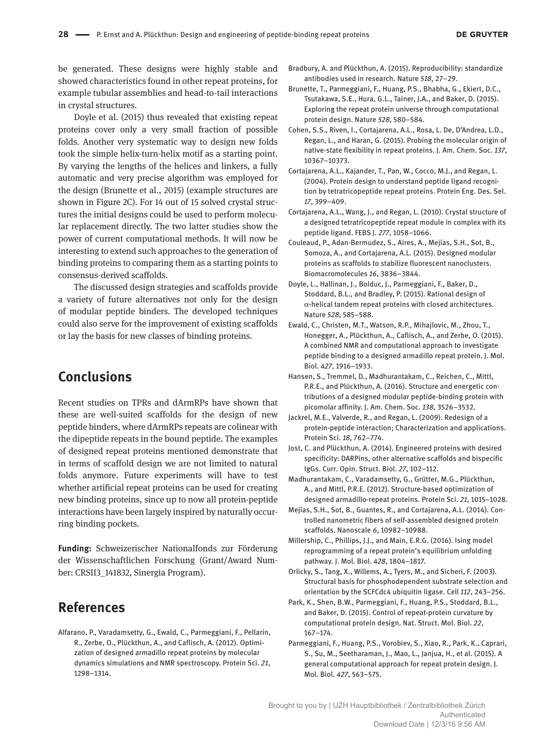be generated. These designs were highly stable and showed characteristics found in other repeat proteins, for example tubular assemblies and head-to-tail interactions in crystal structures.

Doyle et al. (2015) thus revealed that existing repeat proteins cover only a very small fraction of possible folds. Another very systematic way to design new folds took the simple helix-turn-helix motif as a starting point. By varying the lengths of the helices and linkers, a fully automatic and very precise algorithm was employed for the design (Brunette et al., 2015) (example structures are shown in Figure 2C). For 14 out of 15 solved crystal structures the initial designs could be used to perform molecular replacement directly. The two latter studies show the power of current computational methods. It will now be interesting to extend such approaches to the generation of binding proteins to comparing them as a starting points to consensus-derived scaffolds.

The discussed design strategies and scaffolds provide a variety of future alternatives not only for the design of modular peptide binders. The developed techniques could also serve for the improvement of existing scaffolds or lay the basis for new classes of binding proteins.

### **Conclusions**

Recent studies on TPRs and dArmRPs have shown that these are well-suited scaffolds for the design of new peptide binders, where dArmRPs repeats are colinear with the dipeptide repeats in the bound peptide. The examples of designed repeat proteins mentioned demonstrate that in terms of scaffold design we are not limited to natural folds anymore. Future experiments will have to test whether artificial repeat proteins can be used for creating new binding proteins, since up to now all protein-peptide interactions have been largely inspired by naturally occurring binding pockets.

**Funding:** Schweizerischer Nationalfonds zur Förderung der Wissenschaftlichen Forschung (Grant/Award Number: CRSII3\_141832, Sinergia Program).

#### **References**

Alfarano, P., Varadamsetty, G., Ewald, C., Parmeggiani, F., Pellarin, R., Zerbe, O., Plückthun, A., and Caflisch, A. (2012). Optimization of designed armadillo repeat proteins by molecular dynamics simulations and NMR spectroscopy. Protein Sci. *21*, 1298–1314.

- Bradbury, A. and Plückthun, A. (2015). Reproducibility: standardize antibodies used in research. Nature *518*, 27–29.
- Brunette, T., Parmeggiani, F., Huang, P.S., Bhabha, G., Ekiert, D.C., Tsutakawa, S.E., Hura, G.L., Tainer, J.A., and Baker, D. (2015). Exploring the repeat protein universe through computational protein design. Nature *528*, 580–584.
- Cohen, S.S., Riven, I., Cortajarena, A.L., Rosa, L. De, D'Andrea, L.D., Regan, L., and Haran, G. (2015). Probing the molecular origin of native-state flexibility in repeat proteins. J. Am. Chem. Soc. *137*, 10367–10373.
- Cortajarena, A.L., Kajander, T., Pan, W., Cocco, M.J., and Regan, L. (2004). Protein design to understand peptide ligand recognition by tetratricopeptide repeat proteins. Protein Eng. Des. Sel. *17*, 399–409.
- Cortajarena, A.L., Wang, J., and Regan, L. (2010). Crystal structure of a designed tetratricopeptide repeat module in complex with its peptide ligand. FEBS J. *277*, 1058–1066.
- Couleaud, P., Adan-Bermudez, S., Aires, A., Mejías, S.H., Sot, B., Somoza, A., and Cortajarena, A.L. (2015). Designed modular proteins as scaffolds to stabilize fluorescent nanoclusters. Biomacromolecules *16*, 3836–3844.
- Doyle, L., Hallinan, J., Bolduc, J., Parmeggiani, F., Baker, D., Stoddard, B.L., and Bradley, P. (2015). Rational design of α-helical tandem repeat proteins with closed architectures. Nature *528*, 585–588.
- Ewald, C., Christen, M.T., Watson, R.P., Mihajlovic, M., Zhou, T., Honegger, A., Plückthun, A., Caflisch, A., and Zerbe, O. (2015). A combined NMR and computational approach to investigate peptide binding to a designed armadillo repeat protein. J. Mol. Biol. *427*, 1916–1933.
- Hansen, S., Tremmel, D., Madhurantakam, C., Reichen, C., Mittl, P.R.E., and Plückthun, A. (2016). Structure and energetic contributions of a designed modular peptide-binding protein with picomolar affinity. J. Am. Chem. Soc. *138*, 3526–3532.
- Jackrel, M.E., Valverde, R., and Regan, L. (2009). Redesign of a protein-peptide interaction; Characterization and applications. Protein Sci. *18*, 762–774.
- Jost, C. and Plückthun, A. (2014). Engineered proteins with desired specificity: DARPins, other alternative scaffolds and bispecific IgGs. Curr. Opin. Struct. Biol. *27*, 102–112.
- Madhurantakam, C., Varadamsetty, G., Grütter, M.G., Plückthun, A., and Mittl, P.R.E. (2012). Structure-based optimization of designed armadillo-repeat proteins. Protein Sci. *21*, 1015–1028.
- Mejías, S.H., Sot, B., Guantes, R., and Cortajarena, A.L. (2014). Controlled nanometric fibers of self-assembled designed protein scaffolds. Nanoscale *6*, 10982–10988.
- Millership, C., Phillips, J.J., and Main, E.R.G. (2016). Ising model reprogramming of a repeat protein's equilibrium unfolding pathway. J. Mol. Biol. *428*, 1804–1817.
- Orlicky, S., Tang, X., Willems, A., Tyers, M., and Sicheri, F. (2003). Structural basis for phosphodependent substrate selection and orientation by the SCFCdc4 ubiquitin ligase. Cell *112*, 243–256.
- Park, K., Shen, B.W., Parmeggiani, F., Huang, P.S., Stoddard, B.L., and Baker, D. (2015). Control of repeat-protein curvature by computational protein design. Nat. Struct. Mol. Biol. *22*, 167–174.
- Parmeggiani, F., Huang, P.S., Vorobiev, S., Xiao, R., Park, K., Caprari, S., Su, M., Seetharaman, J., Mao, L., Janjua, H., et al. (2015). A general computational approach for repeat protein design. J. Mol. Biol. *427*, 563–575.